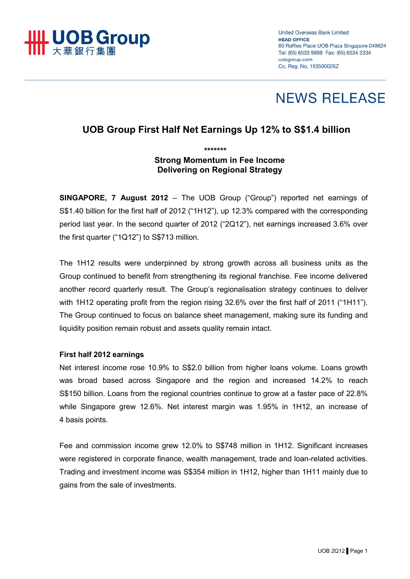

**United Overseas Bank Limited HEAD OFFICE** 80 Raffles Place UOB Plaza Singapore 048624 Tel: (65) 6533 9898 Fax: (65) 6534 2334 uobgroup.com Co. Reg. No. 193500026Z

# **NEWS RELEASE**

## **UOB Group First Half Net Earnings Up 12% to S\$1.4 billion**

### *\*\*\*\*\*\*\**  **Strong Momentum in Fee Income Delivering on Regional Strategy**

**SINGAPORE, 7 August 2012** – The UOB Group ("Group") reported net earnings of S\$1.40 billion for the first half of 2012 ("1H12"), up 12.3% compared with the corresponding period last year. In the second quarter of 2012 ("2Q12"), net earnings increased 3.6% over the first quarter ("1Q12") to S\$713 million.

The 1H12 results were underpinned by strong growth across all business units as the Group continued to benefit from strengthening its regional franchise. Fee income delivered another record quarterly result. The Group's regionalisation strategy continues to deliver with 1H12 operating profit from the region rising 32.6% over the first half of 2011 ("1H11"). The Group continued to focus on balance sheet management, making sure its funding and liquidity position remain robust and assets quality remain intact.

#### **First half 2012 earnings**

Net interest income rose 10.9% to S\$2.0 billion from higher loans volume. Loans growth was broad based across Singapore and the region and increased 14.2% to reach S\$150 billion. Loans from the regional countries continue to grow at a faster pace of 22.8% while Singapore grew 12.6%. Net interest margin was 1.95% in 1H12, an increase of 4 basis points.

Fee and commission income grew 12.0% to S\$748 million in 1H12. Significant increases were registered in corporate finance, wealth management, trade and loan-related activities. Trading and investment income was S\$354 million in 1H12, higher than 1H11 mainly due to gains from the sale of investments.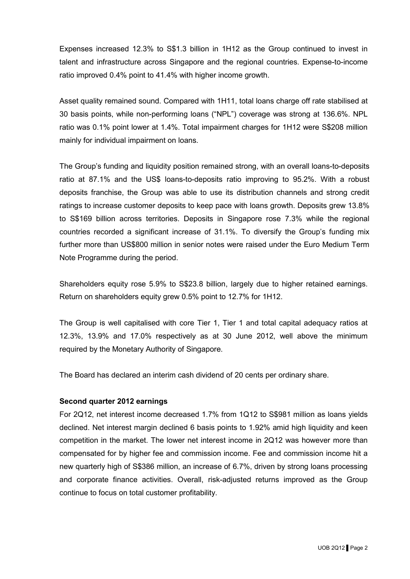Expenses increased 12.3% to S\$1.3 billion in 1H12 as the Group continued to invest in talent and infrastructure across Singapore and the regional countries. Expense-to-income ratio improved 0.4% point to 41.4% with higher income growth.

Asset quality remained sound. Compared with 1H11, total loans charge off rate stabilised at 30 basis points, while non-performing loans ("NPL") coverage was strong at 136.6%. NPL ratio was 0.1% point lower at 1.4%. Total impairment charges for 1H12 were S\$208 million mainly for individual impairment on loans.

The Group's funding and liquidity position remained strong, with an overall loans-to-deposits ratio at 87.1% and the US\$ loans-to-deposits ratio improving to 95.2%. With a robust deposits franchise, the Group was able to use its distribution channels and strong credit ratings to increase customer deposits to keep pace with loans growth. Deposits grew 13.8% to S\$169 billion across territories. Deposits in Singapore rose 7.3% while the regional countries recorded a significant increase of 31.1%. To diversify the Group's funding mix further more than US\$800 million in senior notes were raised under the Euro Medium Term Note Programme during the period.

Shareholders equity rose 5.9% to S\$23.8 billion, largely due to higher retained earnings. Return on shareholders equity grew 0.5% point to 12.7% for 1H12.

The Group is well capitalised with core Tier 1, Tier 1 and total capital adequacy ratios at 12.3%, 13.9% and 17.0% respectively as at 30 June 2012, well above the minimum required by the Monetary Authority of Singapore.

The Board has declared an interim cash dividend of 20 cents per ordinary share.

#### **Second quarter 2012 earnings**

For 2Q12, net interest income decreased 1.7% from 1Q12 to S\$981 million as loans yields declined. Net interest margin declined 6 basis points to 1.92% amid high liquidity and keen competition in the market. The lower net interest income in 2Q12 was however more than compensated for by higher fee and commission income. Fee and commission income hit a new quarterly high of S\$386 million, an increase of 6.7%, driven by strong loans processing and corporate finance activities. Overall, risk-adjusted returns improved as the Group continue to focus on total customer profitability.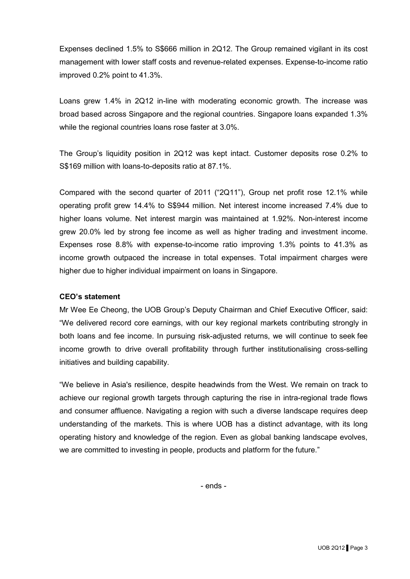Expenses declined 1.5% to S\$666 million in 2Q12. The Group remained vigilant in its cost management with lower staff costs and revenue-related expenses. Expense-to-income ratio improved 0.2% point to 41.3%.

Loans grew 1.4% in 2Q12 in-line with moderating economic growth. The increase was broad based across Singapore and the regional countries. Singapore loans expanded 1.3% while the regional countries loans rose faster at 3.0%.

The Group's liquidity position in 2Q12 was kept intact. Customer deposits rose 0.2% to S\$169 million with loans-to-deposits ratio at 87.1%.

Compared with the second quarter of 2011 ("2Q11"), Group net profit rose 12.1% while operating profit grew 14.4% to S\$944 million. Net interest income increased 7.4% due to higher loans volume. Net interest margin was maintained at 1.92%. Non-interest income grew 20.0% led by strong fee income as well as higher trading and investment income. Expenses rose 8.8% with expense-to-income ratio improving 1.3% points to 41.3% as income growth outpaced the increase in total expenses. Total impairment charges were higher due to higher individual impairment on loans in Singapore.

#### **CEO's statement**

Mr Wee Ee Cheong, the UOB Group's Deputy Chairman and Chief Executive Officer, said: "We delivered record core earnings, with our key regional markets contributing strongly in both loans and fee income. In pursuing risk-adjusted returns, we will continue to seek fee income growth to drive overall profitability through further institutionalising cross-selling initiatives and building capability.

"We believe in Asia's resilience, despite headwinds from the West. We remain on track to achieve our regional growth targets through capturing the rise in intra-regional trade flows and consumer affluence. Navigating a region with such a diverse landscape requires deep understanding of the markets. This is where UOB has a distinct advantage, with its long operating history and knowledge of the region. Even as global banking landscape evolves, we are committed to investing in people, products and platform for the future."

- ends -